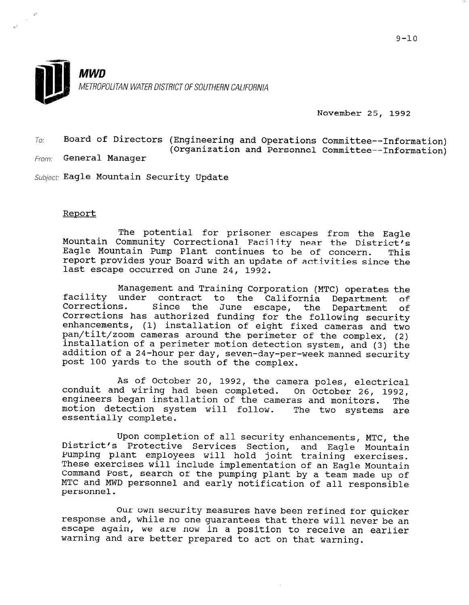

November 25, 1992

 $T_{O}$ : Board of Directors (Engineering and Operations Committee--Information) (Organization and Personnel Committee--Information)

From: General Manager

Subject: Eagle Mountain Security Update

## Report

The potential for prisoner escapes from the Eagle Mountain Community Correctional Facility near the District's Eagle Mountain Pump Plant continues to be of concern. This report provides your Board with an update of activities since the last escape occurred on June 24, 1992.

facility under contract to the California Department of Management and Training Corporation (MTC) operates the Corrections. Since the June oc co che curricinia bepartment of<br>the June escape, the Department of Corrections. Since the June escape, the Department of<br>Corrections has authorized funding for the following security enhancements, (1) installation of eight fixed cameras and two pan/tilt/zoom cameras around the perimeter of the complex, (2) installation of a perimeter motion detection system, and (3) the addition of a 24-hour per day, seven-day-per-week manned security post 100 yards to the south of the complex.

As of October 20, 1992, the camera poles, electrical conduit and wiring had been completed. On October 26, 1992, engineers began installation of the cameras and monitors. The motion detection system will follow. mocron dececcron : as and monitolis. The

Opon complection of all security ennancements, MTC, the Services Section, and Eagle Mountain Upon completion of all security enhancements, MTC, the piscrice's Procective Services Section, and Eagle Mount.<br>Pumping plant employees will hold joint training exercis rumping piant employees will note joint training exercises These exercises will include implementation of an Eagle Mountain Command Post, search of the pumping plant by a team made up of MTC and MWD personnel and early notification of all responsible personnel.

Our own security measures have been refined for quicker our own security measures have been refined for quicker response and, while no one guarantees that there will never be an escape again, we are now in a position to receive an earlier<br>warning and are better prepared to act on that warning.